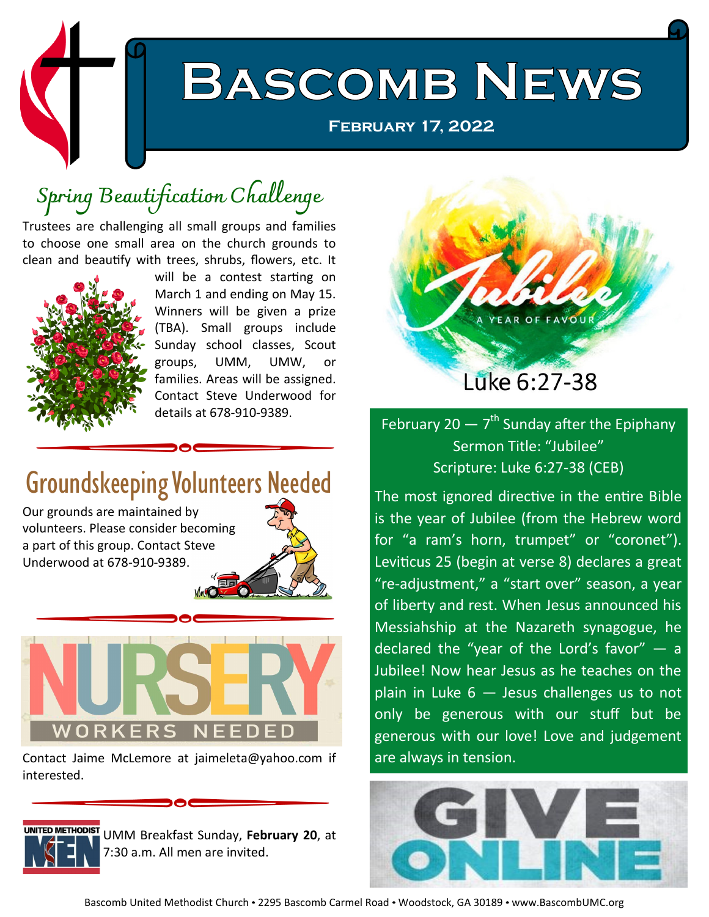

## **Spring Beautification Challenge**

Trustees are challenging all small groups and families to choose one small area on the church grounds to clean and beautify with trees, shrubs, flowers, etc. It



will be a contest starting on March 1 and ending on May 15. Winners will be given a prize (TBA). Small groups include Sunday school classes, Scout groups, UMM, UMW, or families. Areas will be assigned. Contact Steve Underwood for details at 678-910-9389.

## Groundskeeping Volunteers Needed

Our grounds are maintained by volunteers. Please consider becoming a part of this group. Contact Steve Underwood at 678-910-9389.





Contact Jaime McLemore at jaimeleta@yahoo.com if interested.



UMM Breakfast Sunday, **February 20**, at 7:30 a.m. All men are invited.



February 20  $-7<sup>th</sup>$  Sunday after the Epiphany Sermon Title: "Jubilee" Scripture: Luke 6:27-38 (CEB)

The most ignored directive in the entire Bible is the year of Jubilee (from the Hebrew word for "a ram's horn, trumpet" or "coronet"). Leviticus 25 (begin at verse 8) declares a great "re-adjustment," a "start over" season, a year of liberty and rest. When Jesus announced his Messiahship at the Nazareth synagogue, he declared the "year of the Lord's  $favor'' - a$ Jubilee! Now hear Jesus as he teaches on the plain in Luke  $6 -$  Jesus challenges us to not only be generous with our stuff but be generous with our love! Love and judgement are always in tension.